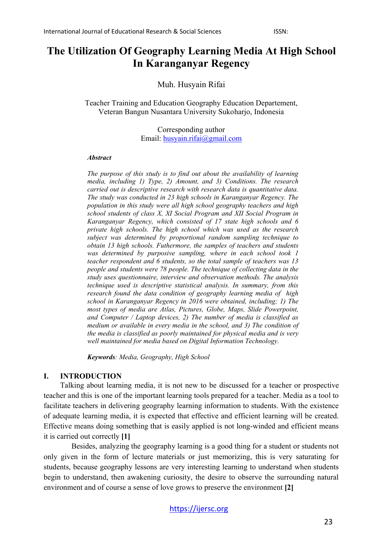# **The Utilization Of Geography Learning Media At High School In Karanganyar Regency**

Muh. Husyain Rifai

Teacher Training and Education Geography Education Departement, Veteran Bangun Nusantara University Sukoharjo, Indonesia

> Corresponding author Email: [husyain.rifai@gmail.com](mailto:husyain.rifai@gmail.com)

#### *Abstract*

*The purpose of this study is to find out about the availability of learning media, including 1) Type, 2) Amount, and 3) Conditions. The research carried out is descriptive research with research data is quantitative data. The study was conducted in 23 high schools in Karanganyar Regency. The population in this study were all high school geography teachers and high school students of class X, XI Social Program and XII Social Program in Karanganyar Regency, which consisted of 17 state high schools and 6 private high schools. The high school which was used as the research subject was determined by proportional random sampling technique to obtain 13 high schools. Futhermore, the samples of teachers and students was determined by purposive sampling, where in each school took 1 teacher respondent and 6 students, so the total sample of teachers was 13 people and students were 78 people. The technique of collecting data in the study uses questionnaire, interview and observation methods. The analysis technique used is descriptive statistical analysis. In summary, from this research found the data condition of geography learning media of high school in Karanganyar Regency in 2016 were obtained, including; 1) The most types of media are Atlas, Pictures, Globe, Maps, Slide Powerpoint, and Computer / Laptop devices, 2) The number of media is classified as medium or available in every media in the school, and 3) The condition of the media is classified as poorly maintained for physical media and is very well maintained for media based on Digital Information Technology.*

*Keywords: Media, Geography, High School*

### **I. INTRODUCTION**

Talking about learning media, it is not new to be discussed for a teacher or prospective teacher and this is one of the important learning tools prepared for a teacher. Media as a tool to facilitate teachers in delivering geography learning information to students. With the existence of adequate learning media, it is expected that effective and efficient learning will be created. Effective means doing something that is easily applied is not long-winded and efficient means it is carried out correctly **[1]**

Besides, analyzing the geography learning is a good thing for a student or students not only given in the form of lecture materials or just memorizing, this is very saturating for students, because geography lessons are very interesting learning to understand when students begin to understand, then awakening curiosity, the desire to observe the surrounding natural environment and of course a sense of love grows to preserve the environment **[2]**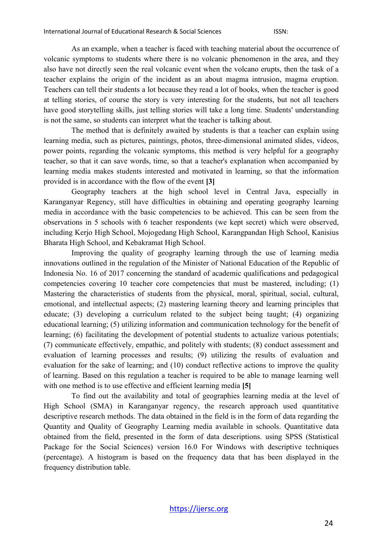As an example, when a teacher is faced with teaching material about the occurrence of volcanic symptoms to students where there is no volcanic phenomenon in the area, and they also have not directly seen the real volcanic event when the volcano erupts, then the task of a teacher explains the origin of the incident as an about magma intrusion, magma eruption. Teachers can tell their students a lot because they read a lot of books, when the teacher is good at telling stories, of course the story is very interesting for the students, but not all teachers have good storytelling skills, just telling stories will take a long time. Students' understanding is not the same, so students can interpret what the teacher is talking about.

The method that is definitely awaited by students is that a teacher can explain using learning media, such as pictures, paintings, photos, three-dimensional animated slides, videos, power points, regarding the volcanic symptoms, this method is very helpful for a geography teacher, so that it can save words, time, so that a teacher's explanation when accompanied by learning media makes students interested and motivated in learning, so that the information provided is in accordance with the flow of the event **[3]**

Geography teachers at the high school level in Central Java, especially in Karanganyar Regency, still have difficulties in obtaining and operating geography learning media in accordance with the basic competencies to be achieved. This can be seen from the observations in 5 schools with 6 teacher respondents (we kept secret) which were observed, including Kerjo High School, Mojogedang High School, Karangpandan High School, Kanisius Bharata High School, and Kebakramat High School.

Improving the quality of geography learning through the use of learning media innovations outlined in the regulation of the Minister of National Education of the Republic of Indonesia No. 16 of 2017 concerning the standard of academic qualifications and pedagogical competencies covering 10 teacher core competencies that must be mastered, including; (1) Mastering the characteristics of students from the physical, moral, spiritual, social, cultural, emotional, and intellectual aspects; (2) mastering learning theory and learning principles that educate; (3) developing a curriculum related to the subject being taught; (4) organizing educational learning; (5) utilizing information and communication technology for the benefit of learning; (6) facilitating the development of potential students to actualize various potentials; (7) communicate effectively, empathic, and politely with students; (8) conduct assessment and evaluation of learning processes and results; (9) utilizing the results of evaluation and evaluation for the sake of learning; and (10) conduct reflective actions to improve the quality of learning. Based on this regulation a teacher is required to be able to manage learning well with one method is to use effective and efficient learning media **[5]**

To find out the availability and total of geographies learning media at the level of High School (SMA) in Karanganyar regency, the research approach used quantitative descriptive research methods. The data obtained in the field is in the form of data regarding the Quantity and Quality of Geography Learning media available in schools. Quantitative data obtained from the field, presented in the form of data descriptions. using SPSS (Statistical Package for the Social Sciences) version 16.0 For Windows with descriptive techniques (percentage). A histogram is based on the frequency data that has been displayed in the frequency distribution table.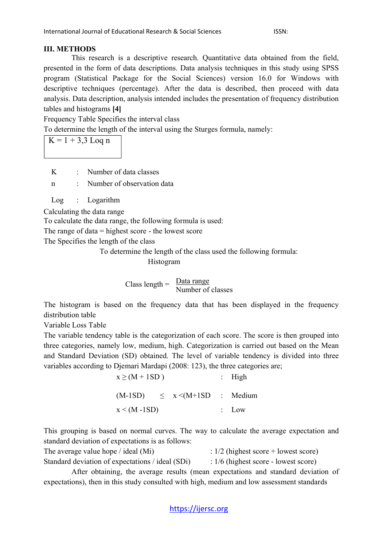### **III. METHODS**

This research is a descriptive research. Quantitative data obtained from the field, presented in the form of data descriptions. Data analysis techniques in this study using SPSS program (Statistical Package for the Social Sciences) version 16.0 for Windows with descriptive techniques (percentage). After the data is described, then proceed with data analysis. Data description, analysis intended includes the presentation of frequency distribution tables and histograms **[4]**

Frequency Table Specifies the interval class

To determine the length of the interval using the Sturges formula, namely:

 $K = 1 + 3.3$  Loq n

K : Number of data classes

n : Number of observation data

Log : Logarithm

Calculating the data range

To calculate the data range, the following formula is used:

The range of data = highest score - the lowest score

The Specifies the length of the class

To determine the length of the class used the following formula:

Histogram

 $\text{Class length} = \frac{\text{Data range}}{\text{Number of classes}}$ 

The histogram is based on the frequency data that has been displayed in the frequency distribution table

Variable Loss Table

The variable tendency table is the categorization of each score. The score is then grouped into three categories, namely low, medium, high. Categorization is carried out based on the Mean and Standard Deviation (SD) obtained. The level of variable tendency is divided into three variables according to Djemari Mardapi (2008: 123), the three categories are;

| $x \ge (M + 1SD)$  | : High  |                                        |  |
|--------------------|---------|----------------------------------------|--|
|                    |         | $(M-1SD) \leq x \leq (M+1SD)$ : Medium |  |
| $x \leq (M - 1SD)$ | $:$ Low |                                        |  |

This grouping is based on normal curves. The way to calculate the average expectation and standard deviation of expectations is as follows:

The average value hope / ideal (Mi)  $\frac{1}{2}$  (highest score + lowest score) Standard deviation of expectations / ideal (SDi) :  $1/6$  (highest score - lowest score)

After obtaining, the average results (mean expectations and standard deviation of expectations), then in this study consulted with high, medium and low assessment standards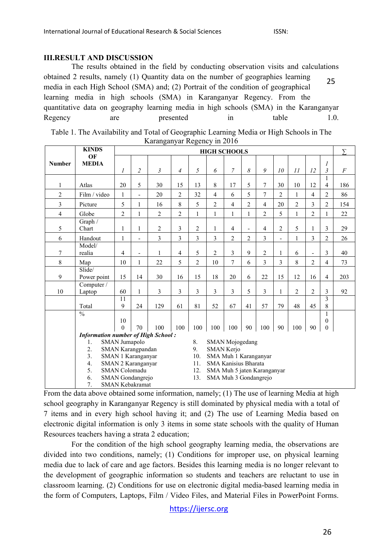#### **III.RESULT AND DISCUSSION**

The results obtained in the field by conducting observation visits and calculations obtained 2 results, namely (1) Quantity data on the number of geographies learning media in each High School (SMA) and; (2) Portrait of the condition of geographical learning media in high schools (SMA) in Karanganyar Regency. From the quantitative data on geography learning media in high schools (SMA) in the Karanganyar Regency are presented in table 1.0. 25

| ixaranganyar ixegeney in 2010 |                                           |                                                          |                |                |                |                |                                     |                |                |                |                |                |                |                |                |
|-------------------------------|-------------------------------------------|----------------------------------------------------------|----------------|----------------|----------------|----------------|-------------------------------------|----------------|----------------|----------------|----------------|----------------|----------------|----------------|----------------|
|                               | <b>KINDS</b>                              | <b>HIGH SCHOOLS</b>                                      |                |                |                |                |                                     |                | Σ              |                |                |                |                |                |                |
| <b>Number</b>                 | OF<br><b>MEDIA</b>                        |                                                          |                |                |                |                |                                     |                |                |                |                |                |                | 1              |                |
|                               |                                           | $\mathcal I$                                             | $\overline{c}$ | $\mathfrak{Z}$ | $\overline{4}$ | 5              | 6                                   | $\overline{7}$ | 8              | 9              | 10             | II             | 12             | $\overline{3}$ | $\overline{F}$ |
|                               |                                           |                                                          |                |                |                |                |                                     |                |                |                |                |                |                | 1              |                |
| 1                             | Atlas                                     | 20                                                       | 5              | 30             | 15             | 13             | 8                                   | 17             | 5              | $\overline{7}$ | 30             | 10             | 12             | $\overline{4}$ | 186            |
| $\overline{2}$                | Film / video                              | 1                                                        | ÷              | 20             | $\overline{2}$ | 32             | $\overline{4}$                      | 6              | 5              | $\overline{7}$ | $\overline{c}$ | 1              | $\overline{4}$ | $\overline{2}$ | 86             |
| 3                             | Picture                                   | 5                                                        | 1              | 16             | 8              | 5              | $\overline{2}$                      | $\overline{4}$ | $\overline{2}$ | $\overline{4}$ | 20             | $\overline{2}$ | 3              | $\overline{2}$ | 154            |
| $\overline{4}$                | Globe                                     | $\overline{c}$                                           | $\mathbf{1}$   | $\overline{2}$ | $\overline{2}$ | $\mathbf{1}$   | 1                                   | $\mathbf{1}$   | 1              | $\overline{2}$ | 5              | 1              | $\overline{2}$ | $\mathbf{1}$   | 22             |
| 5                             | Graph /<br>Chart                          | 1                                                        | 1              | $\overline{2}$ | 3              | 2              | 1                                   | $\overline{4}$ |                | $\overline{4}$ | $\overline{c}$ | 5              |                | 3              | 29             |
| 6                             | Handout                                   | 1                                                        |                | 3              | 3              | 3              | 3                                   | $\overline{2}$ | $\overline{2}$ | 3              |                | 1              | 3              | $\overline{c}$ | 26             |
|                               | Model/                                    |                                                          |                |                |                |                |                                     |                |                |                |                |                |                |                |                |
| 7                             | realia                                    | 4                                                        |                | 1              | $\overline{4}$ | 5              | $\overline{2}$                      | 3              | 9              | $\overline{c}$ | 1              | 6              |                | 3              | 40             |
| 8                             | Map                                       | 10                                                       | $\mathbf{1}$   | 22             | 5              | $\overline{2}$ | 10                                  | $\overline{7}$ | 6              | 3              | 3              | 8              | $\overline{2}$ | $\overline{4}$ | 73             |
|                               | Slide/                                    |                                                          |                |                |                |                |                                     |                |                |                |                |                |                |                |                |
| 9                             | Power point                               | 15                                                       | 14             | 30             | 16             | 15             | 18                                  | 20             | 6              | 22             | 15             | 12             | 16             | $\overline{4}$ | 203            |
|                               | Computer /                                |                                                          |                |                |                |                |                                     |                |                |                |                |                |                |                |                |
| 10                            | Laptop                                    | 60                                                       | 1              | 3              | $\overline{3}$ | 3              | 3                                   | 3              | 5              | 3              | $\mathbf{1}$   | $\overline{2}$ | $\overline{c}$ | $\overline{3}$ | 92             |
|                               | Total                                     | 11<br>9                                                  | 24             | 129            | 61             | 81             | 52                                  | 67             | 41             | 57             | 79             | 48             | 45             | 3<br>8         |                |
|                               | $\frac{0}{0}$                             |                                                          |                |                |                |                |                                     |                |                |                |                |                |                | 1              |                |
|                               |                                           | 10                                                       |                |                |                |                |                                     |                |                |                |                |                |                | $\mathbf{0}$   |                |
|                               |                                           | $\theta$                                                 | 70             | 100            | 100            | 100            | 100                                 | 100            | 90             | 100            | 90             | 100            | 90             | $\mathbf{0}$   |                |
|                               | <b>Information number of High School:</b> |                                                          |                |                |                |                |                                     |                |                |                |                |                |                |                |                |
|                               | 1.                                        | SMAN Jumapolo<br>SMAN Karangpandan<br>SMAN 1 Karanganyar |                |                |                | 8.             | <b>SMAN</b> Mojogedang              |                |                |                |                |                |                |                |                |
|                               | 2.                                        |                                                          |                |                |                | 9.             | SMAN Kerjo<br>SMA Muh 1 Karanganyar |                |                |                |                |                |                |                |                |
|                               | 3.                                        |                                                          |                |                |                | 10.            |                                     |                |                |                |                |                |                |                |                |
|                               | 4.                                        | SMAN 2 Karanganyar                                       |                |                |                | 11.            | <b>SMA Kanisius Bharata</b>         |                |                |                |                |                |                |                |                |
|                               | 5.                                        | <b>SMAN</b> Colomadu                                     |                |                |                |                | 12.<br>SMA Muh 5 jaten Karanganyar  |                |                |                |                |                |                |                |                |
|                               | 6.<br>SMAN Gondangrejo                    |                                                          |                |                |                | 13.            | SMA Muh 3 Gondangreio               |                |                |                |                |                |                |                |                |

| Table 1. The Availability and Total of Geographic Learning Media or High Schools in The |                             |  |  |
|-----------------------------------------------------------------------------------------|-----------------------------|--|--|
|                                                                                         | Karanganyar Regency in 2016 |  |  |

From the data above obtained some information, namely; (1) The use of learning Media at high school geography in Karanganyar Regency is still dominated by physical media with a total of 7 items and in every high school having it; and (2) The use of Learning Media based on electronic digital information is only 3 items in some state schools with the quality of Human Resources teachers having a strata 2 education;

7. SMAN Kebakramat

For the condition of the high school geography learning media, the observations are divided into two conditions, namely; (1) Conditions for improper use, on physical learning media due to lack of care and age factors. Besides this learning media is no longer relevant to the development of geographic information so students and teachers are reluctant to use in classroom learning. (2) Conditions for use on electronic digital media-based learning media in the form of Computers, Laptops, Film / Video Files, and Material Files in PowerPoint Forms.

[https://ijersc.org](https://ijersc.org/)